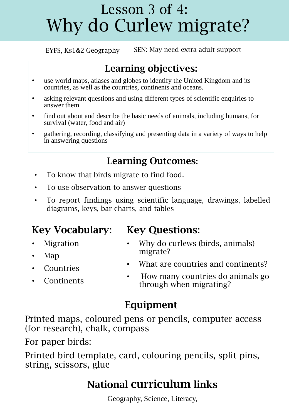### Lesson 3 of 4: Why do Curlew migrate?

EYFS, Ks1&2 Geography SEN: May need extra adult support

### Learning objectives:

- use world maps, atlases and globes to identify the United Kingdom and its countries, as well as the countries, continents and oceans.
- asking relevant questions and using different types of scientific enquiries to answer them
- find out about and describe the basic needs of animals, including humans, for survival (water, food and air)
- gathering, recording, classifying and presenting data in a variety of ways to help in answering questions

### Learning Outcomes:

- To know that birds migrate to find food.
- To use observation to answer questions
- To report findings using scientific language, drawings, labelled diagrams, keys, bar charts, and tables

### Key Vocabulary:

### Key Questions:

- **Migration**
- Map
- Countries
- Why do curlews (birds, animals) migrate?
- What are countries and continents?
- **Continents** • How many countries do animals go through when migrating?

### Equipment

Printed maps, coloured pens or pencils, computer access (for research), chalk, compass

For paper birds:

Printed bird template, card, colouring pencils, split pins, string, scissors, glue

### National curriculum links

Geography, Science, Literacy,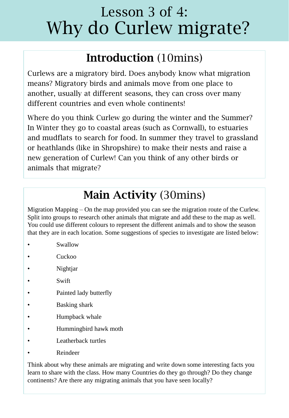### Lesson 3 of 4: Why do Curlew migrate?

### Introduction (10mins)

Curlews are a migratory bird. Does anybody know what migration means? Migratory birds and animals move from one place to another, usually at different seasons, they can cross over many different countries and even whole continents!

Where do you think Curlew go during the winter and the Summer? In Winter they go to coastal areas (such as Cornwall), to estuaries and mudflats to search for food. In summer they travel to grassland or heathlands (like in Shropshire) to make their nests and raise a new generation of Curlew! Can you think of any other birds or animals that migrate?

### Main Activity (30mins)

Migration Mapping – On the map provided you can see the migration route of the Curlew. Split into groups to research other animals that migrate and add these to the map as well. You could use different colours to represent the different animals and to show the season that they are in each location. Some suggestions of species to investigate are listed below:

- Swallow
- Cuckoo
- Nightjar
- **Swift**
- Painted lady butterfly
- Basking shark
- Humpback whale
- Hummingbird hawk moth
- Leatherback turtles
- Reindeer

Think about why these animals are migrating and write down some interesting facts you learn to share with the class. How many Countries do they go through? Do they change continents? Are there any migrating animals that you have seen locally?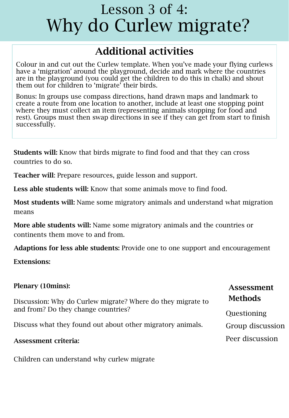### Lesson 3 of 4: Why do Curlew migrate?

### Additional activities

Colour in and cut out the Curlew template. When you've made your flying curlews have a 'migration' around the playground, decide and mark where the countries are in the playground (you could get the children to do this in chalk) and shout them out for children to 'migrate' their birds.

Bonus: In groups use compass directions, hand drawn maps and landmark to create a route from one location to another, include at least one stopping point where they must collect an item (representing animals stopping for food and rest). Groups must then swap directions in see if they can get from start to finish successfully.

**Students will:** Know that birds migrate to find food and that they can cross countries to do so.

Teacher will: Prepare resources, guide lesson and support.

Less able students will: Know that some animals move to find food.

Most students will: Name some migratory animals and understand what migration means

More able students will: Name some migratory animals and the countries or continents them move to and from.

Adaptions for less able students: Provide one to one support and encouragement

Extensions:

| Plenary (10mins):                                           | <b>Assessment</b> |
|-------------------------------------------------------------|-------------------|
| Discussion: Why do Curlew migrate? Where do they migrate to | <b>Methods</b>    |
| and from? Do they change countries?                         | Questioning       |
| Discuss what they found out about other migratory animals.  | Group discussion  |
| Assessment criteria:                                        | Peer discussion   |
| Children can understand why curlew migrate                  |                   |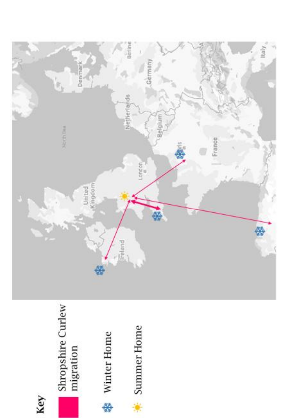### Key

Shropshire Curlew migration



**Summer Home** 

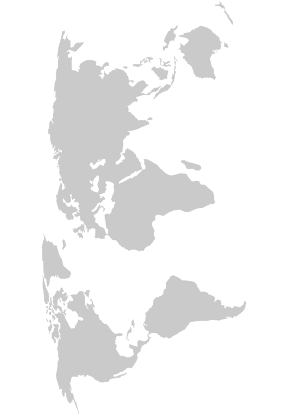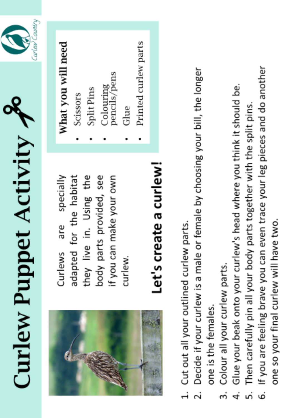# Curlew Puppet Activity  $\rightarrow$





are specially adapted for the habitat they live in. Using the body parts provided, see if you can make your own Curlews curlew.

## Let's create a curlew!

### What you will need

- Scissors
- Split Pins
- pencils/pens Colouring
- Glue
- Printed curlew parts
- 1. Cut out all your outlined curlew parts.
- Decide if your curlew is a male or female by choosing your bill, the longer one is the females.
- Colour all your curlew parts.
- Glue your beak onto your curlew's head where you think it should be.
	- Then carefully pin all your body parts together with the split pins.
- If you are feeling brave you can even trace your leg pieces and do another one so your final curlew will have two. Ġ